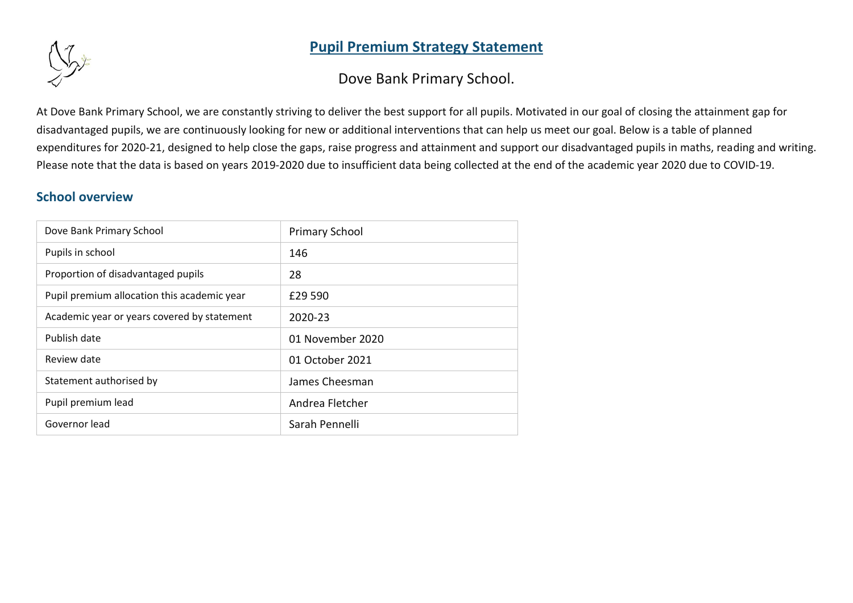# **Pupil Premium Strategy Statement**



Dove Bank Primary School.

At Dove Bank Primary School, we are constantly striving to deliver the best support for all pupils. Motivated in our goal of closing the attainment gap for disadvantaged pupils, we are continuously looking for new or additional interventions that can help us meet our goal. Below is a table of planned expenditures for 2020-21, designed to help close the gaps, raise progress and attainment and support our disadvantaged pupils in maths, reading and writing. Please note that the data is based on years 2019-2020 due to insufficient data being collected at the end of the academic year 2020 due to COVID-19.

# **School overview**

| Dove Bank Primary School                    | <b>Primary School</b> |
|---------------------------------------------|-----------------------|
| Pupils in school                            | 146                   |
| Proportion of disadvantaged pupils          | 28                    |
| Pupil premium allocation this academic year | £29 590               |
| Academic year or years covered by statement | 2020-23               |
| Publish date                                | 01 November 2020      |
| Review date                                 | 01 October 2021       |
| Statement authorised by                     | James Cheesman        |
| Pupil premium lead                          | Andrea Fletcher       |
| Governor lead                               | Sarah Pennelli        |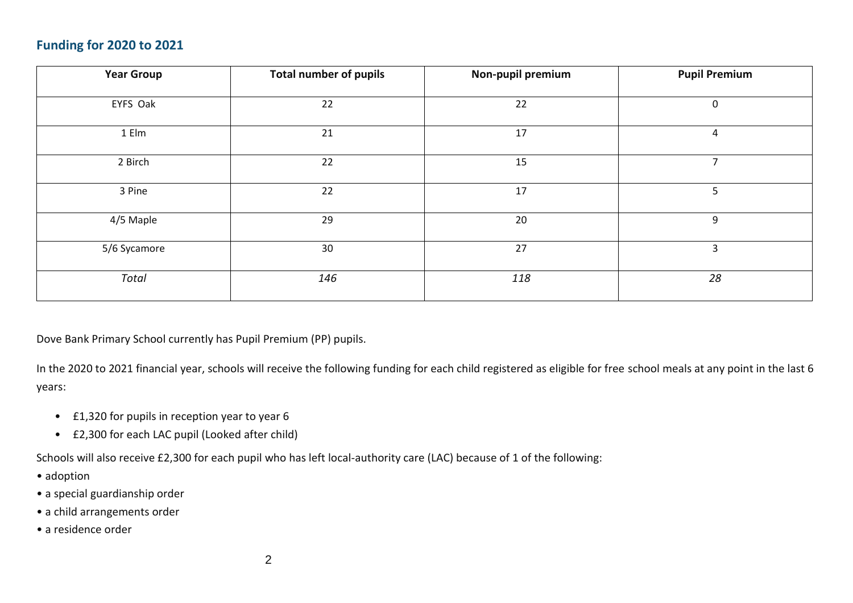# **Funding for 2020 to 2021**

| <b>Year Group</b> | <b>Total number of pupils</b> | Non-pupil premium | <b>Pupil Premium</b> |
|-------------------|-------------------------------|-------------------|----------------------|
| EYFS Oak          | 22                            | 22                | 0                    |
| 1 Elm             | 21                            | 17                | 4                    |
| 2 Birch           | 22                            | 15                | $\overline{7}$       |
| 3 Pine            | 22                            | 17                | 5                    |
| 4/5 Maple         | 29                            | 20                | 9                    |
| 5/6 Sycamore      | 30                            | 27                | 3                    |
| Total             | 146                           | 118               | 28                   |

Dove Bank Primary School currently has Pupil Premium (PP) pupils.

In the 2020 to 2021 financial year, schools will receive the following funding for each child registered as eligible for free school meals at any point in the last 6 years:

- £1,320 for pupils in reception year to year 6
- £2,300 for each LAC pupil (Looked after child)

Schools will also receive £2,300 for each pupil who has left local-authority care (LAC) because of 1 of the following:

- adoption
- a special guardianship order
- a child arrangements order
- a residence order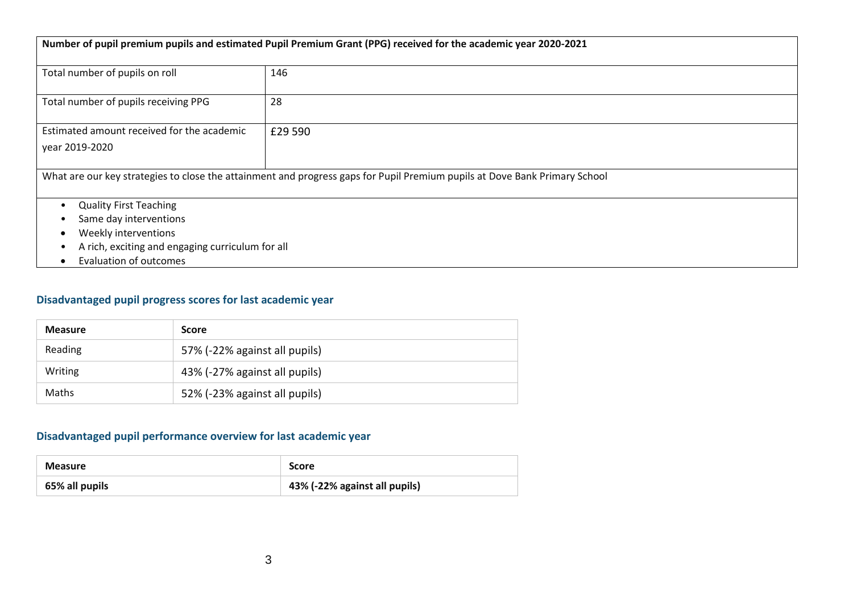| Number of pupil premium pupils and estimated Pupil Premium Grant (PPG) received for the academic year 2020-2021 |                                                                                                                            |  |  |
|-----------------------------------------------------------------------------------------------------------------|----------------------------------------------------------------------------------------------------------------------------|--|--|
| Total number of pupils on roll                                                                                  | 146                                                                                                                        |  |  |
|                                                                                                                 |                                                                                                                            |  |  |
| Total number of pupils receiving PPG                                                                            | 28                                                                                                                         |  |  |
|                                                                                                                 |                                                                                                                            |  |  |
| Estimated amount received for the academic                                                                      | £29 590                                                                                                                    |  |  |
| year 2019-2020                                                                                                  |                                                                                                                            |  |  |
|                                                                                                                 |                                                                                                                            |  |  |
|                                                                                                                 | What are our key strategies to close the attainment and progress gaps for Pupil Premium pupils at Dove Bank Primary School |  |  |
|                                                                                                                 |                                                                                                                            |  |  |
| <b>Quality First Teaching</b>                                                                                   |                                                                                                                            |  |  |
| Same day interventions                                                                                          |                                                                                                                            |  |  |
| Weekly interventions                                                                                            |                                                                                                                            |  |  |
| A rich, exciting and engaging curriculum for all                                                                |                                                                                                                            |  |  |
| <b>Evaluation of outcomes</b>                                                                                   |                                                                                                                            |  |  |

### **Disadvantaged pupil progress scores for last academic year**

| <b>Measure</b> | <b>Score</b>                  |
|----------------|-------------------------------|
| Reading        | 57% (-22% against all pupils) |
| Writing        | 43% (-27% against all pupils) |
| <b>Maths</b>   | 52% (-23% against all pupils) |

### **Disadvantaged pupil performance overview for last academic year**

| <b>Measure</b> | <b>Score</b>                  |  |
|----------------|-------------------------------|--|
| 65% all pupils | 43% (-22% against all pupils) |  |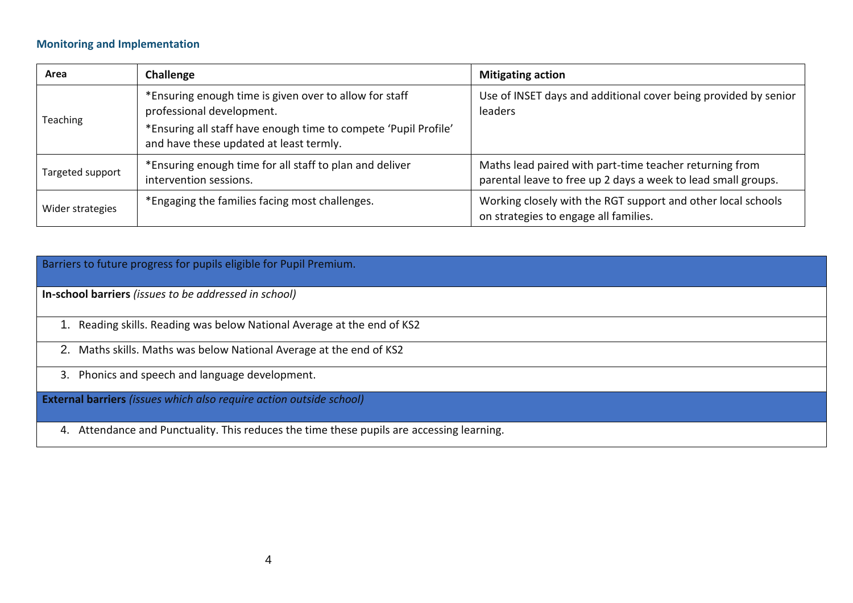#### **Monitoring and Implementation**

| Area             | Challenge                                                                                                  | <b>Mitigating action</b>                                                                                                 |
|------------------|------------------------------------------------------------------------------------------------------------|--------------------------------------------------------------------------------------------------------------------------|
| Teaching         | *Ensuring enough time is given over to allow for staff<br>professional development.                        | Use of INSET days and additional cover being provided by senior<br>leaders                                               |
|                  | *Ensuring all staff have enough time to compete 'Pupil Profile'<br>and have these updated at least termly. |                                                                                                                          |
| Targeted support | *Ensuring enough time for all staff to plan and deliver<br>intervention sessions.                          | Maths lead paired with part-time teacher returning from<br>parental leave to free up 2 days a week to lead small groups. |
| Wider strategies | *Engaging the families facing most challenges.                                                             | Working closely with the RGT support and other local schools<br>on strategies to engage all families.                    |

Barriers to future progress for pupils eligible for Pupil Premium.

**In-school barriers** *(issues to be addressed in school)*

1. Reading skills. Reading was below National Average at the end of KS2

2. Maths skills. Maths was below National Average at the end of KS2

3. Phonics and speech and language development.

**External barriers** *(issues which also require action outside school)*

4. Attendance and Punctuality. This reduces the time these pupils are accessing learning.